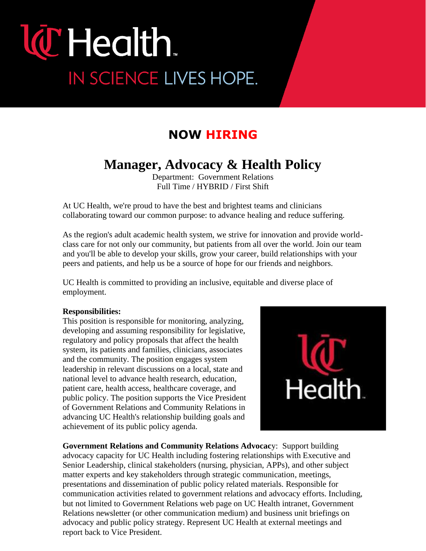# **lC** Health. IN SCIENCE LIVES HOPE.

### **NOW HIRING**

### **Manager, Advocacy & Health Policy**

Department:Government Relations Full Time / HYBRID / First Shift

At UC Health, we're proud to have the best and brightest teams and clinicians collaborating toward our common purpose: to advance healing and reduce suffering.

As the region's adult academic health system, we strive for innovation and provide worldclass care for not only our community, but patients from all over the world. Join our team and you'll be able to develop your skills, grow your career, build relationships with your peers and patients, and help us be a source of hope for our friends and neighbors.

UC Health is committed to providing an inclusive, equitable and diverse place of employment.

#### **Responsibilities:**

This position is responsible for monitoring, analyzing, developing and assuming responsibility for legislative, regulatory and policy proposals that affect the health system, its patients and families, clinicians, associates and the community. The position engages system leadership in relevant discussions on a local, state and national level to advance health research, education, patient care, health access, healthcare coverage, and public policy. The position supports the Vice President of Government Relations and Community Relations in advancing UC Health's relationship building goals and achievement of its public policy agenda.



**Government Relations and Community Relations Advocac**y: Support building advocacy capacity for UC Health including fostering relationships with Executive and Senior Leadership, clinical stakeholders (nursing, physician, APPs), and other subject matter experts and key stakeholders through strategic communication, meetings, presentations and dissemination of public policy related materials. Responsible for communication activities related to government relations and advocacy efforts. Including, but not limited to Government Relations web page on UC Health intranet, Government Relations newsletter (or other communication medium) and business unit briefings on advocacy and public policy strategy. Represent UC Health at external meetings and report back to Vice President.